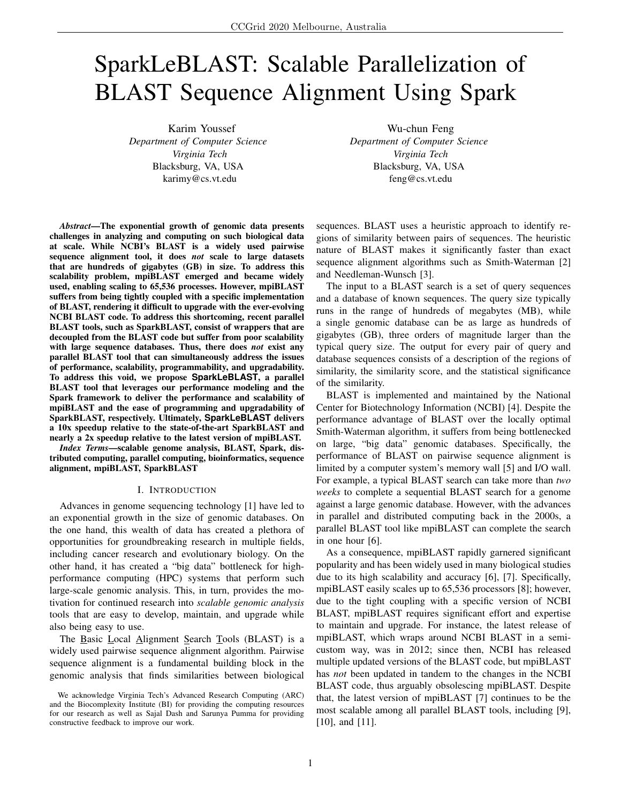# SparkLeBLAST: Scalable Parallelization of BLAST Sequence Alignment Using Spark

Karim Youssef *Department of Computer Science Virginia Tech* Blacksburg, VA, USA karimy@cs.vt.edu

Wu-chun Feng *Department of Computer Science Virginia Tech* Blacksburg, VA, USA feng@cs.vt.edu

*Abstract*—The exponential growth of genomic data presents challenges in analyzing and computing on such biological data at scale. While NCBI's BLAST is a widely used pairwise sequence alignment tool, it does *not* scale to large datasets that are hundreds of gigabytes (GB) in size. To address this scalability problem, mpiBLAST emerged and became widely used, enabling scaling to 65,536 processes. However, mpiBLAST suffers from being tightly coupled with a specific implementation of BLAST, rendering it difficult to upgrade with the ever-evolving NCBI BLAST code. To address this shortcoming, recent parallel BLAST tools, such as SparkBLAST, consist of wrappers that are decoupled from the BLAST code but suffer from poor scalability with large sequence databases. Thus, there does *not* exist any parallel BLAST tool that can simultaneously address the issues of performance, scalability, programmability, and upgradability. To address this void, we propose **SparkLeBLAST**, a parallel BLAST tool that leverages our performance modeling and the Spark framework to deliver the performance and scalability of mpiBLAST and the ease of programming and upgradability of SparkBLAST, respectively. Ultimately, **SparkLeBLAST** delivers a 10x speedup relative to the state-of-the-art SparkBLAST and nearly a 2x speedup relative to the latest version of mpiBLAST.

*Index Terms*—scalable genome analysis, BLAST, Spark, distributed computing, parallel computing, bioinformatics, sequence alignment, mpiBLAST, SparkBLAST

### I. INTRODUCTION

Advances in genome sequencing technology [1] have led to an exponential growth in the size of genomic databases. On the one hand, this wealth of data has created a plethora of opportunities for groundbreaking research in multiple fields, including cancer research and evolutionary biology. On the other hand, it has created a "big data" bottleneck for highperformance computing (HPC) systems that perform such large-scale genomic analysis. This, in turn, provides the motivation for continued research into *scalable genomic analysis* tools that are easy to develop, maintain, and upgrade while also being easy to use.

The Basic Local Alignment Search Tools (BLAST) is a widely used pairwise sequence alignment algorithm. Pairwise sequence alignment is a fundamental building block in the genomic analysis that finds similarities between biological sequences. BLAST uses a heuristic approach to identify regions of similarity between pairs of sequences. The heuristic nature of BLAST makes it significantly faster than exact sequence alignment algorithms such as Smith-Waterman [2] and Needleman-Wunsch [3].

The input to a BLAST search is a set of query sequences and a database of known sequences. The query size typically runs in the range of hundreds of megabytes (MB), while a single genomic database can be as large as hundreds of gigabytes (GB), three orders of magnitude larger than the typical query size. The output for every pair of query and database sequences consists of a description of the regions of similarity, the similarity score, and the statistical significance of the similarity.

BLAST is implemented and maintained by the National Center for Biotechnology Information (NCBI) [4]. Despite the performance advantage of BLAST over the locally optimal Smith-Waterman algorithm, it suffers from being bottlenecked on large, "big data" genomic databases. Specifically, the performance of BLAST on pairwise sequence alignment is limited by a computer system's memory wall [5] and I/O wall. For example, a typical BLAST search can take more than *two weeks* to complete a sequential BLAST search for a genome against a large genomic database. However, with the advances in parallel and distributed computing back in the 2000s, a parallel BLAST tool like mpiBLAST can complete the search in one hour [6].

As a consequence, mpiBLAST rapidly garnered significant popularity and has been widely used in many biological studies due to its high scalability and accuracy [6], [7]. Specifically, mpiBLAST easily scales up to 65,536 processors [8]; however, due to the tight coupling with a specific version of NCBI BLAST, mpiBLAST requires significant effort and expertise to maintain and upgrade. For instance, the latest release of mpiBLAST, which wraps around NCBI BLAST in a semicustom way, was in 2012; since then, NCBI has released multiple updated versions of the BLAST code, but mpiBLAST has *not* been updated in tandem to the changes in the NCBI BLAST code, thus arguably obsolescing mpiBLAST. Despite that, the latest version of mpiBLAST [7] continues to be the most scalable among all parallel BLAST tools, including [9], [10], and [11].

We acknowledge Virginia Tech's Advanced Research Computing (ARC) and the Biocomplexity Institute (BI) for providing the computing resources for our research as well as Sajal Dash and Sarunya Pumma for providing constructive feedback to improve our work.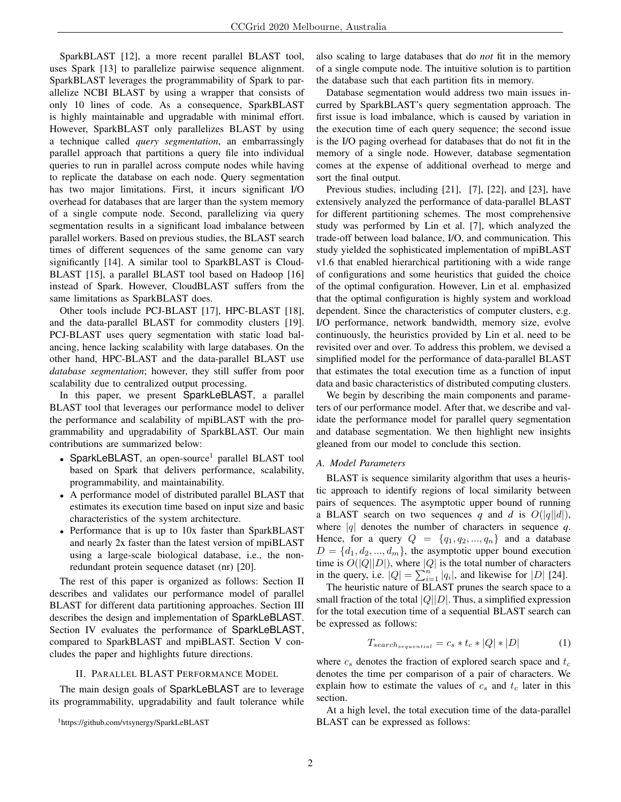SparkBLAST [12], a more recent parallel BLAST tool, uses Spark [13] to parallelize pairwise sequence alignment. SparkBLAST leverages the programmability of Spark to parallelize NCBI BLAST by using a wrapper that consists of only 10 lines of code. As a consequence, SparkBLAST is highly maintainable and upgradable with minimal effort. However, SparkBLAST only parallelizes BLAST by using a technique called *query segmentation*, an embarrassingly parallel approach that partitions a query file into individual queries to run in parallel across compute nodes while having to replicate the database on each node. Query segmentation has two major limitations. First, it incurs significant I/O overhead for databases that are larger than the system memory of a single compute node. Second, parallelizing via query segmentation results in a significant load imbalance between parallel workers. Based on previous studies, the BLAST search times of different sequences of the same genome can vary significantly [14]. A similar tool to SparkBLAST is Cloud-BLAST [15], a parallel BLAST tool based on Hadoop [16] instead of Spark. However, CloudBLAST suffers from the same limitations as SparkBLAST does.

Other tools include PCJ-BLAST [17], HPC-BLAST [18], and the data-parallel BLAST for commodity clusters [19]. PCJ-BLAST uses query segmentation with static load balancing, hence lacking scalability with large databases. On the other hand, HPC-BLAST and the data-parallel BLAST use *database segmentation*; however, they still suffer from poor scalability due to centralized output processing.

In this paper, we present SparkLeBLAST, a parallel BLAST tool that leverages our performance model to deliver the performance and scalability of mpiBLAST with the programmability and upgradability of SparkBLAST. Our main contributions are summarized below:

- SparkLeBLAST, an open-source<sup>1</sup> parallel BLAST tool based on Spark that delivers performance, scalability, programmability, and maintainability.
- A performance model of distributed parallel BLAST that estimates its execution time based on input size and basic characteristics of the system architecture.
- Performance that is up to 10x faster than SparkBLAST and nearly 2x faster than the latest version of mpiBLAST using a large-scale biological database, i.e., the nonredundant protein sequence dataset (nr) [20].

The rest of this paper is organized as follows: Section II describes and validates our performance model of parallel BLAST for different data partitioning approaches. Section III describes the design and implementation of SparkLeBLAST. Section IV evaluates the performance of SparkLeBLAST, compared to SparkBLAST and mpiBLAST. Section V concludes the paper and highlights future directions.

# II. PARALLEL BLAST PERFORMANCE MODEL

The main design goals of SparkLeBLAST are to leverage its programmability, upgradability and fault tolerance while also scaling to large databases that do *not* fit in the memory of a single compute node. The intuitive solution is to partition the database such that each partition fits in memory.

Database segmentation would address two main issues incurred by SparkBLAST's query segmentation approach. The first issue is load imbalance, which is caused by variation in the execution time of each query sequence; the second issue is the I/O paging overhead for databases that do not fit in the memory of a single node. However, database segmentation comes at the expense of additional overhead to merge and sort the final output.

Previous studies, including [21], [7], [22], and [23], have extensively analyzed the performance of data-parallel BLAST for different partitioning schemes. The most comprehensive study was performed by Lin et al. [7], which analyzed the trade-off between load balance, I/O, and communication. This study yielded the sophisticated implementation of mpiBLAST v1.6 that enabled hierarchical partitioning with a wide range of configurations and some heuristics that guided the choice of the optimal configuration. However, Lin et al. emphasized that the optimal configuration is highly system and workload dependent. Since the characteristics of computer clusters, e.g. I/O performance, network bandwidth, memory size, evolve continuously, the heuristics provided by Lin et al. need to be revisited over and over. To address this problem, we devised a simplified model for the performance of data-parallel BLAST that estimates the total execution time as a function of input data and basic characteristics of distributed computing clusters.

We begin by describing the main components and parameters of our performance model. After that, we describe and validate the performance model for parallel query segmentation and database segmentation. We then highlight new insights gleaned from our model to conclude this section.

# *A. Model Parameters*

BLAST is sequence similarity algorithm that uses a heuristic approach to identify regions of local similarity between pairs of sequences. The asymptotic upper bound of running a BLAST search on two sequences q and d is  $O(|q||d|)$ , where  $|q|$  denotes the number of characters in sequence q. Hence, for a query  $Q = \{q_1, q_2, ..., q_n\}$  and a database  $D = \{d_1, d_2, ..., d_m\}$ , the asymptotic upper bound execution time is  $O(|Q||D|)$ , where |Q| is the total number of characters in the query, i.e.  $|Q| = \sum_{i=1}^{n} |q_i|$ , and likewise for  $|D|$  [24].

The heuristic nature of BLAST prunes the search space to a small fraction of the total  $|Q||D|$ . Thus, a simplified expression for the total execution time of a sequential BLAST search can be expressed as follows:

$$
T_{search_{sequential}} = c_s * t_c * |Q| * |D|
$$
 (1)

where  $c_s$  denotes the fraction of explored search space and  $t_c$ denotes the time per comparison of a pair of characters. We explain how to estimate the values of  $c_s$  and  $t_c$  later in this section.

At a high level, the total execution time of the data-parallel BLAST can be expressed as follows:

<sup>1</sup>https://github.com/vtsynergy/SparkLeBLAST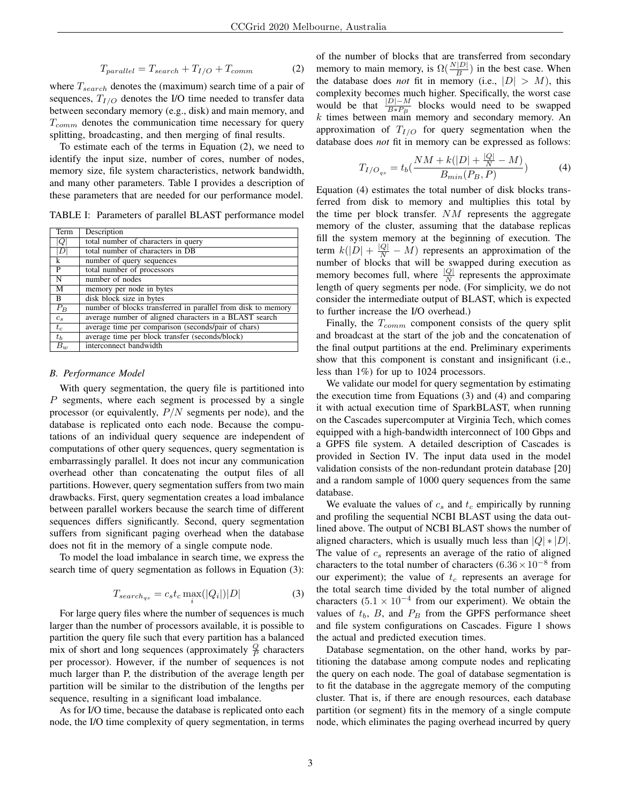$$
T_{parallel} = T_{search} + T_{I/O} + T_{comm}
$$
 (2)

where  $T_{search}$  denotes the (maximum) search time of a pair of sequences,  $T_{I/O}$  denotes the I/O time needed to transfer data between secondary memory (e.g., disk) and main memory, and  $T_{comm}$  denotes the communication time necessary for query splitting, broadcasting, and then merging of final results.

To estimate each of the terms in Equation (2), we need to identify the input size, number of cores, number of nodes, memory size, file system characteristics, network bandwidth, and many other parameters. Table I provides a description of these parameters that are needed for our performance model.

TABLE I: Parameters of parallel BLAST performance model

| Term           | Description                                                  |
|----------------|--------------------------------------------------------------|
| V              | total number of characters in query                          |
| D              | total number of characters in DB                             |
| k              | number of query sequences                                    |
| $\mathbf{P}$   | total number of processors                                   |
| $\overline{N}$ | number of nodes                                              |
| M              | memory per node in bytes                                     |
| B              | disk block size in bytes                                     |
| $P_B$          | number of blocks transferred in parallel from disk to memory |
| $c_s$          | average number of aligned characters in a BLAST search       |
| $t_c$          | average time per comparison (seconds/pair of chars)          |
| $t_b$          | average time per block transfer (seconds/block)              |
| $B_{w}$        | interconnect bandwidth                                       |

## *B. Performance Model*

With query segmentation, the query file is partitioned into P segments, where each segment is processed by a single processor (or equivalently,  $P/N$  segments per node), and the database is replicated onto each node. Because the computations of an individual query sequence are independent of computations of other query sequences, query segmentation is embarrassingly parallel. It does not incur any communication overhead other than concatenating the output files of all partitions. However, query segmentation suffers from two main drawbacks. First, query segmentation creates a load imbalance between parallel workers because the search time of different sequences differs significantly. Second, query segmentation suffers from significant paging overhead when the database does not fit in the memory of a single compute node.

To model the load imbalance in search time, we express the search time of query segmentation as follows in Equation (3):

$$
T_{search_{qs}} = c_s t_c \max_i(|Q_i|)|D| \tag{3}
$$

For large query files where the number of sequences is much larger than the number of processors available, it is possible to partition the query file such that every partition has a balanced mix of short and long sequences (approximately  $\frac{Q}{P}$  characters per processor). However, if the number of sequences is not much larger than P, the distribution of the average length per partition will be similar to the distribution of the lengths per sequence, resulting in a significant load imbalance.

As for I/O time, because the database is replicated onto each node, the I/O time complexity of query segmentation, in terms of the number of blocks that are transferred from secondary memory to main memory, is  $\Omega(\frac{N|D|}{B})$  in the best case. When the database does *not* fit in memory (i.e.,  $|D| > M$ ), this complexity becomes much higher. Specifically, the worst case would be that  $\frac{|D|-M}{B*P_B}$  blocks would need to be swapped  $k$  times between main memory and secondary memory. An approximation of  $T_{I/O}$  for query segmentation when the database does *not* fit in memory can be expressed as follows:

$$
T_{I/O_{qs}} = t_b \left( \frac{NM + k(|D| + \frac{|Q|}{N} - M)}{B_{min}(P_B, P)} \right)
$$
 (4)

Equation (4) estimates the total number of disk blocks transferred from disk to memory and multiplies this total by the time per block transfer. NM represents the aggregate memory of the cluster, assuming that the database replicas fill the system memory at the beginning of execution. The term  $k(|D| + \frac{|Q|}{N} - M)$  represents an approximation of the number of blocks that will be swapped during execution as memory becomes full, where  $\frac{|Q|}{N}$  represents the approximate length of query segments per node. (For simplicity, we do not consider the intermediate output of BLAST, which is expected to further increase the I/O overhead.)

Finally, the  $T_{comm}$  component consists of the query split and broadcast at the start of the job and the concatenation of the final output partitions at the end. Preliminary experiments show that this component is constant and insignificant (i.e., less than 1%) for up to 1024 processors.

We validate our model for query segmentation by estimating the execution time from Equations (3) and (4) and comparing it with actual execution time of SparkBLAST, when running on the Cascades supercomputer at Virginia Tech, which comes equipped with a high-bandwidth interconnect of 100 Gbps and a GPFS file system. A detailed description of Cascades is provided in Section IV. The input data used in the model validation consists of the non-redundant protein database [20] and a random sample of 1000 query sequences from the same database.

We evaluate the values of  $c_s$  and  $t_c$  empirically by running and profiling the sequential NCBI BLAST using the data outlined above. The output of NCBI BLAST shows the number of aligned characters, which is usually much less than  $|Q| * |D|$ . The value of  $c_s$  represents an average of the ratio of aligned characters to the total number of characters  $(6.36 \times 10^{-8}$  from our experiment); the value of  $t_c$  represents an average for the total search time divided by the total number of aligned characters  $(5.1 \times 10^{-4}$  from our experiment). We obtain the values of  $t_b$ ,  $B$ , and  $P_B$  from the GPFS performance sheet and file system configurations on Cascades. Figure 1 shows the actual and predicted execution times.

Database segmentation, on the other hand, works by partitioning the database among compute nodes and replicating the query on each node. The goal of database segmentation is to fit the database in the aggregate memory of the computing cluster. That is, if there are enough resources, each database partition (or segment) fits in the memory of a single compute node, which eliminates the paging overhead incurred by query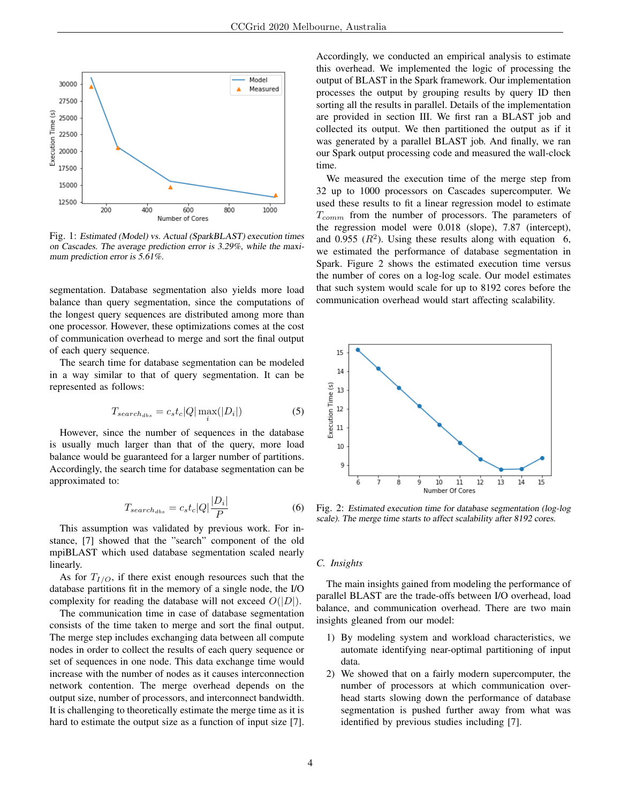

Fig. 1: Estimated (Model) vs. Actual (SparkBLAST) execution times on Cascades. The average prediction error is 3.29%, while the maximum prediction error is 5.61%.

segmentation. Database segmentation also yields more load balance than query segmentation, since the computations of the longest query sequences are distributed among more than one processor. However, these optimizations comes at the cost of communication overhead to merge and sort the final output of each query sequence.

The search time for database segmentation can be modeled in a way similar to that of query segmentation. It can be represented as follows:

$$
T_{search_{abs}} = c_s t_c |Q| \max_i (|D_i|)
$$
 (5)

However, since the number of sequences in the database is usually much larger than that of the query, more load balance would be guaranteed for a larger number of partitions. Accordingly, the search time for database segmentation can be approximated to:

$$
T_{search_{abs}} = c_s t_c |Q| \frac{|D_i|}{P}
$$
 (6)

This assumption was validated by previous work. For instance, [7] showed that the "search" component of the old mpiBLAST which used database segmentation scaled nearly linearly.

As for  $T_{I/O}$ , if there exist enough resources such that the database partitions fit in the memory of a single node, the I/O complexity for reading the database will not exceed  $O(|D|)$ .

The communication time in case of database segmentation consists of the time taken to merge and sort the final output. The merge step includes exchanging data between all compute nodes in order to collect the results of each query sequence or set of sequences in one node. This data exchange time would increase with the number of nodes as it causes interconnection network contention. The merge overhead depends on the output size, number of processors, and interconnect bandwidth. It is challenging to theoretically estimate the merge time as it is hard to estimate the output size as a function of input size [7].

Accordingly, we conducted an empirical analysis to estimate this overhead. We implemented the logic of processing the output of BLAST in the Spark framework. Our implementation processes the output by grouping results by query ID then sorting all the results in parallel. Details of the implementation are provided in section III. We first ran a BLAST job and collected its output. We then partitioned the output as if it was generated by a parallel BLAST job. And finally, we ran our Spark output processing code and measured the wall-clock time.

We measured the execution time of the merge step from 32 up to 1000 processors on Cascades supercomputer. We used these results to fit a linear regression model to estimate  $T_{comm}$  from the number of processors. The parameters of the regression model were 0.018 (slope), 7.87 (intercept), and 0.955  $(R^2)$ . Using these results along with equation 6, we estimated the performance of database segmentation in Spark. Figure 2 shows the estimated execution time versus the number of cores on a log-log scale. Our model estimates that such system would scale for up to 8192 cores before the communication overhead would start affecting scalability.



Fig. 2: Estimated execution time for database segmentation (log-log scale). The merge time starts to affect scalability after 8192 cores.

# *C. Insights*

The main insights gained from modeling the performance of parallel BLAST are the trade-offs between I/O overhead, load balance, and communication overhead. There are two main insights gleaned from our model:

- 1) By modeling system and workload characteristics, we automate identifying near-optimal partitioning of input data.
- 2) We showed that on a fairly modern supercomputer, the number of processors at which communication overhead starts slowing down the performance of database segmentation is pushed further away from what was identified by previous studies including [7].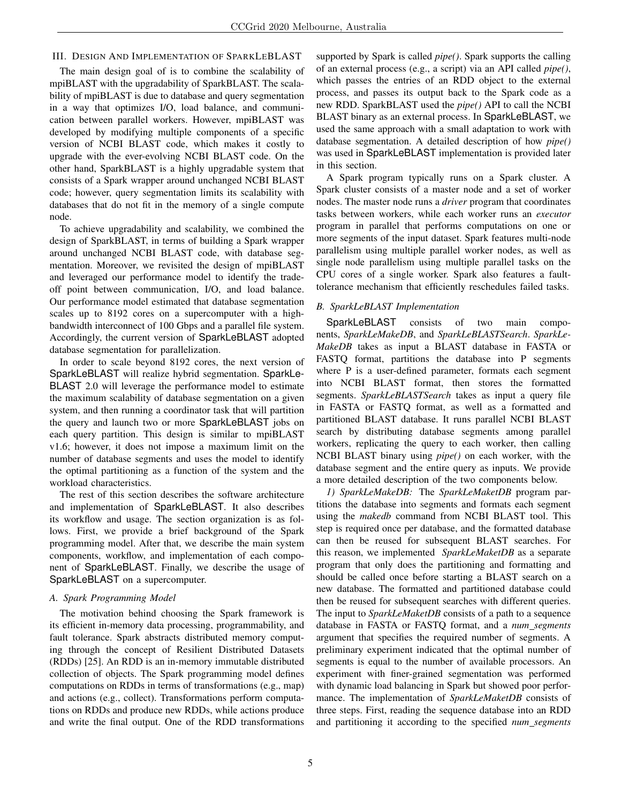# III. DESIGN AND IMPLEMENTATION OF SPARKLEBLAST

The main design goal of is to combine the scalability of mpiBLAST with the upgradability of SparkBLAST. The scalability of mpiBLAST is due to database and query segmentation in a way that optimizes I/O, load balance, and communication between parallel workers. However, mpiBLAST was developed by modifying multiple components of a specific version of NCBI BLAST code, which makes it costly to upgrade with the ever-evolving NCBI BLAST code. On the other hand, SparkBLAST is a highly upgradable system that consists of a Spark wrapper around unchanged NCBI BLAST code; however, query segmentation limits its scalability with databases that do not fit in the memory of a single compute node.

To achieve upgradability and scalability, we combined the design of SparkBLAST, in terms of building a Spark wrapper around unchanged NCBI BLAST code, with database segmentation. Moreover, we revisited the design of mpiBLAST and leveraged our performance model to identify the tradeoff point between communication, I/O, and load balance. Our performance model estimated that database segmentation scales up to 8192 cores on a supercomputer with a highbandwidth interconnect of 100 Gbps and a parallel file system. Accordingly, the current version of SparkLeBLAST adopted database segmentation for parallelization.

In order to scale beyond 8192 cores, the next version of SparkLeBLAST will realize hybrid segmentation. SparkLe-BLAST 2.0 will leverage the performance model to estimate the maximum scalability of database segmentation on a given system, and then running a coordinator task that will partition the query and launch two or more SparkLeBLAST jobs on each query partition. This design is similar to mpiBLAST v1.6; however, it does not impose a maximum limit on the number of database segments and uses the model to identify the optimal partitioning as a function of the system and the workload characteristics.

The rest of this section describes the software architecture and implementation of SparkLeBLAST. It also describes its workflow and usage. The section organization is as follows. First, we provide a brief background of the Spark programming model. After that, we describe the main system components, workflow, and implementation of each component of SparkLeBLAST. Finally, we describe the usage of SparkLeBLAST on a supercomputer.

## *A. Spark Programming Model*

The motivation behind choosing the Spark framework is its efficient in-memory data processing, programmability, and fault tolerance. Spark abstracts distributed memory computing through the concept of Resilient Distributed Datasets (RDDs) [25]. An RDD is an in-memory immutable distributed collection of objects. The Spark programming model defines computations on RDDs in terms of transformations (e.g., map) and actions (e.g., collect). Transformations perform computations on RDDs and produce new RDDs, while actions produce and write the final output. One of the RDD transformations supported by Spark is called *pipe()*. Spark supports the calling of an external process (e.g., a script) via an API called *pipe()*, which passes the entries of an RDD object to the external process, and passes its output back to the Spark code as a new RDD. SparkBLAST used the *pipe()* API to call the NCBI BLAST binary as an external process. In SparkLeBLAST, we used the same approach with a small adaptation to work with database segmentation. A detailed description of how *pipe()* was used in SparkLeBLAST implementation is provided later in this section.

A Spark program typically runs on a Spark cluster. A Spark cluster consists of a master node and a set of worker nodes. The master node runs a *driver* program that coordinates tasks between workers, while each worker runs an *executor* program in parallel that performs computations on one or more segments of the input dataset. Spark features multi-node parallelism using multiple parallel worker nodes, as well as single node parallelism using multiple parallel tasks on the CPU cores of a single worker. Spark also features a faulttolerance mechanism that efficiently reschedules failed tasks.

# *B. SparkLeBLAST Implementation*

SparkLeBLAST consists of two main components, *SparkLeMakeDB*, and *SparkLeBLASTSearch*. *SparkLe-MakeDB* takes as input a BLAST database in FASTA or FASTQ format, partitions the database into P segments where P is a user-defined parameter, formats each segment into NCBI BLAST format, then stores the formatted segments. *SparkLeBLASTSearch* takes as input a query file in FASTA or FASTQ format, as well as a formatted and partitioned BLAST database. It runs parallel NCBI BLAST search by distributing database segments among parallel workers, replicating the query to each worker, then calling NCBI BLAST binary using *pipe()* on each worker, with the database segment and the entire query as inputs. We provide a more detailed description of the two components below.

*1) SparkLeMakeDB:* The *SparkLeMaketDB* program partitions the database into segments and formats each segment using the *makedb* command from NCBI BLAST tool. This step is required once per database, and the formatted database can then be reused for subsequent BLAST searches. For this reason, we implemented *SparkLeMaketDB* as a separate program that only does the partitioning and formatting and should be called once before starting a BLAST search on a new database. The formatted and partitioned database could then be reused for subsequent searches with different queries. The input to *SparkLeMaketDB* consists of a path to a sequence database in FASTA or FASTQ format, and a *num segments* argument that specifies the required number of segments. A preliminary experiment indicated that the optimal number of segments is equal to the number of available processors. An experiment with finer-grained segmentation was performed with dynamic load balancing in Spark but showed poor performance. The implementation of *SparkLeMaketDB* consists of three steps. First, reading the sequence database into an RDD and partitioning it according to the specified *num segments*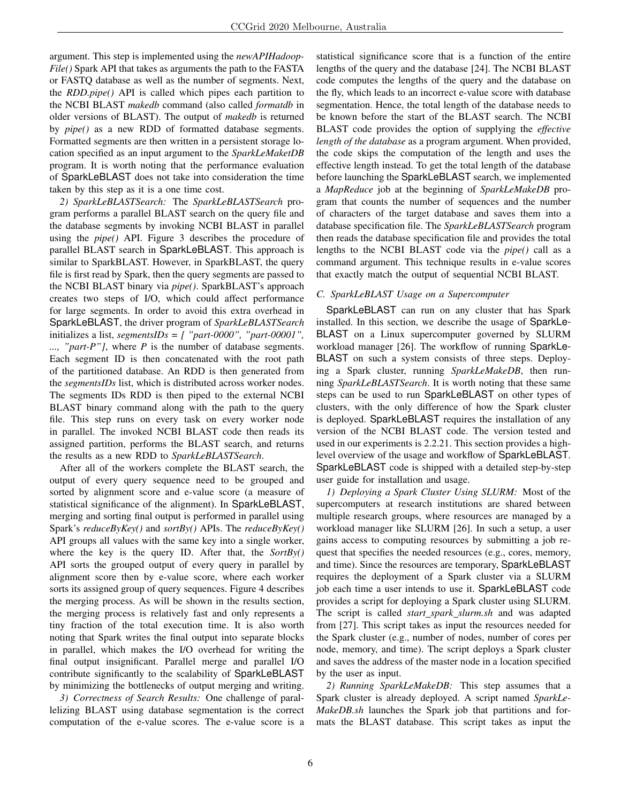argument. This step is implemented using the *newAPIHadoop-File()* Spark API that takes as arguments the path to the FASTA or FASTQ database as well as the number of segments. Next, the *RDD.pipe()* API is called which pipes each partition to the NCBI BLAST *makedb* command (also called *formatdb* in older versions of BLAST). The output of *makedb* is returned by *pipe()* as a new RDD of formatted database segments. Formatted segments are then written in a persistent storage location specified as an input argument to the *SparkLeMaketDB* program. It is worth noting that the performance evaluation of SparkLeBLAST does not take into consideration the time taken by this step as it is a one time cost.

*2) SparkLeBLASTSearch:* The *SparkLeBLASTSearch* program performs a parallel BLAST search on the query file and the database segments by invoking NCBI BLAST in parallel using the *pipe()* API. Figure 3 describes the procedure of parallel BLAST search in SparkLeBLAST. This approach is similar to SparkBLAST. However, in SparkBLAST, the query file is first read by Spark, then the query segments are passed to the NCBI BLAST binary via *pipe()*. SparkBLAST's approach creates two steps of I/O, which could affect performance for large segments. In order to avoid this extra overhead in SparkLeBLAST, the driver program of *SparkLeBLASTSearch* initializes a list, *segmentsIDs = [ "part-0000", "part-00001", ..., "part-P"]*, where *P* is the number of database segments. Each segment ID is then concatenated with the root path of the partitioned database. An RDD is then generated from the *segmentsIDs* list, which is distributed across worker nodes. The segments IDs RDD is then piped to the external NCBI BLAST binary command along with the path to the query file. This step runs on every task on every worker node in parallel. The invoked NCBI BLAST code then reads its assigned partition, performs the BLAST search, and returns the results as a new RDD to *SparkLeBLASTSearch*.

After all of the workers complete the BLAST search, the output of every query sequence need to be grouped and sorted by alignment score and e-value score (a measure of statistical significance of the alignment). In SparkLeBLAST, merging and sorting final output is performed in parallel using Spark's *reduceByKey()* and *sortBy()* APIs. The *reduceByKey()* API groups all values with the same key into a single worker, where the key is the query ID. After that, the *SortBy()* API sorts the grouped output of every query in parallel by alignment score then by e-value score, where each worker sorts its assigned group of query sequences. Figure 4 describes the merging process. As will be shown in the results section, the merging process is relatively fast and only represents a tiny fraction of the total execution time. It is also worth noting that Spark writes the final output into separate blocks in parallel, which makes the I/O overhead for writing the final output insignificant. Parallel merge and parallel I/O contribute significantly to the scalability of SparkLeBLAST by minimizing the bottlenecks of output merging and writing.

*3) Correctness of Search Results:* One challenge of parallelizing BLAST using database segmentation is the correct computation of the e-value scores. The e-value score is a statistical significance score that is a function of the entire lengths of the query and the database [24]. The NCBI BLAST code computes the lengths of the query and the database on the fly, which leads to an incorrect e-value score with database segmentation. Hence, the total length of the database needs to be known before the start of the BLAST search. The NCBI BLAST code provides the option of supplying the *effective length of the database* as a program argument. When provided, the code skips the computation of the length and uses the effective length instead. To get the total length of the database before launching the SparkLeBLAST search, we implemented a *MapReduce* job at the beginning of *SparkLeMakeDB* program that counts the number of sequences and the number of characters of the target database and saves them into a database specification file. The *SparkLeBLASTSearch* program then reads the database specification file and provides the total lengths to the NCBI BLAST code via the *pipe()* call as a command argument. This technique results in e-value scores that exactly match the output of sequential NCBI BLAST.

# *C. SparkLeBLAST Usage on a Supercomputer*

SparkLeBLAST can run on any cluster that has Spark installed. In this section, we describe the usage of SparkLe-BLAST on a Linux supercomputer governed by SLURM workload manager [26]. The workflow of running SparkLe-BLAST on such a system consists of three steps. Deploying a Spark cluster, running *SparkLeMakeDB*, then running *SparkLeBLASTSearch*. It is worth noting that these same steps can be used to run SparkLeBLAST on other types of clusters, with the only difference of how the Spark cluster is deployed. SparkLeBLAST requires the installation of any version of the NCBI BLAST code. The version tested and used in our experiments is 2.2.21. This section provides a highlevel overview of the usage and workflow of SparkLeBLAST. SparkLeBLAST code is shipped with a detailed step-by-step user guide for installation and usage.

*1) Deploying a Spark Cluster Using SLURM:* Most of the supercomputers at research institutions are shared between multiple research groups, where resources are managed by a workload manager like SLURM [26]. In such a setup, a user gains access to computing resources by submitting a job request that specifies the needed resources (e.g., cores, memory, and time). Since the resources are temporary, SparkLeBLAST requires the deployment of a Spark cluster via a SLURM job each time a user intends to use it. SparkLeBLAST code provides a script for deploying a Spark cluster using SLURM. The script is called *start spark slurm.sh* and was adapted from [27]. This script takes as input the resources needed for the Spark cluster (e.g., number of nodes, number of cores per node, memory, and time). The script deploys a Spark cluster and saves the address of the master node in a location specified by the user as input.

*2) Running SparkLeMakeDB:* This step assumes that a Spark cluster is already deployed. A script named *SparkLe-MakeDB.sh* launches the Spark job that partitions and formats the BLAST database. This script takes as input the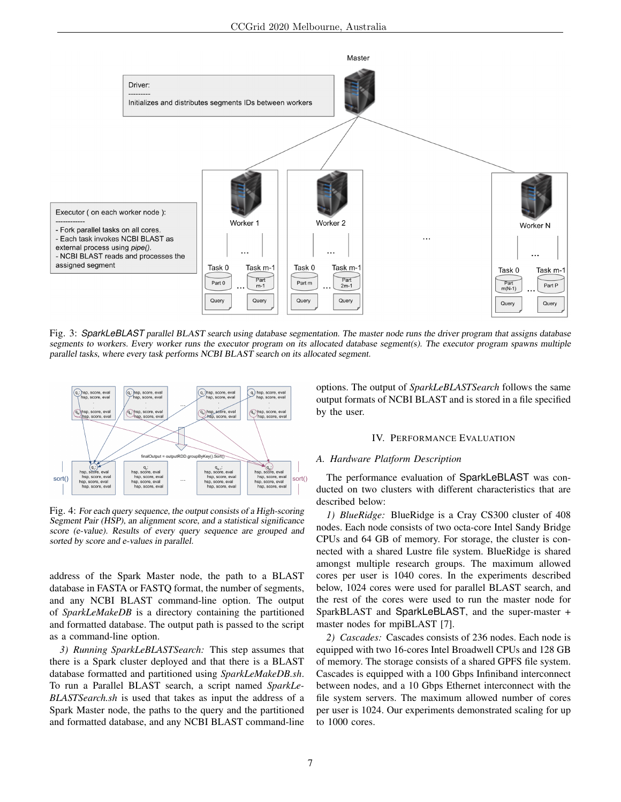

Fig. 3: *SparkLeBLAST* parallel BLAST search using database segmentation. The master node runs the driver program that assigns database segments to workers. Every worker runs the executor program on its allocated database segment(s). The executor program spawns multiple parallel tasks, where every task performs NCBI BLAST search on its allocated segment.



Fig. 4: For each query sequence, the output consists of a High-scoring Segment Pair (HSP), an alignment score, and a statistical significance score (e-value). Results of every query sequence are grouped and sorted by score and e-values in parallel.

address of the Spark Master node, the path to a BLAST database in FASTA or FASTQ format, the number of segments, and any NCBI BLAST command-line option. The output of *SparkLeMakeDB* is a directory containing the partitioned and formatted database. The output path is passed to the script as a command-line option.

*3) Running SparkLeBLASTSearch:* This step assumes that there is a Spark cluster deployed and that there is a BLAST database formatted and partitioned using *SparkLeMakeDB.sh*. To run a Parallel BLAST search, a script named *SparkLe-BLASTSearch.sh* is used that takes as input the address of a Spark Master node, the paths to the query and the partitioned and formatted database, and any NCBI BLAST command-line

options. The output of *SparkLeBLASTSearch* follows the same output formats of NCBI BLAST and is stored in a file specified by the user.

## IV. PERFORMANCE EVALUATION

#### *A. Hardware Platform Description*

The performance evaluation of SparkLeBLAST was conducted on two clusters with different characteristics that are described below:

*1) BlueRidge:* BlueRidge is a Cray CS300 cluster of 408 nodes. Each node consists of two octa-core Intel Sandy Bridge CPUs and 64 GB of memory. For storage, the cluster is connected with a shared Lustre file system. BlueRidge is shared amongst multiple research groups. The maximum allowed cores per user is 1040 cores. In the experiments described below, 1024 cores were used for parallel BLAST search, and the rest of the cores were used to run the master node for SparkBLAST and SparkLeBLAST, and the super-master + master nodes for mpiBLAST [7].

*2) Cascades:* Cascades consists of 236 nodes. Each node is equipped with two 16-cores Intel Broadwell CPUs and 128 GB of memory. The storage consists of a shared GPFS file system. Cascades is equipped with a 100 Gbps Infiniband interconnect between nodes, and a 10 Gbps Ethernet interconnect with the file system servers. The maximum allowed number of cores per user is 1024. Our experiments demonstrated scaling for up to 1000 cores.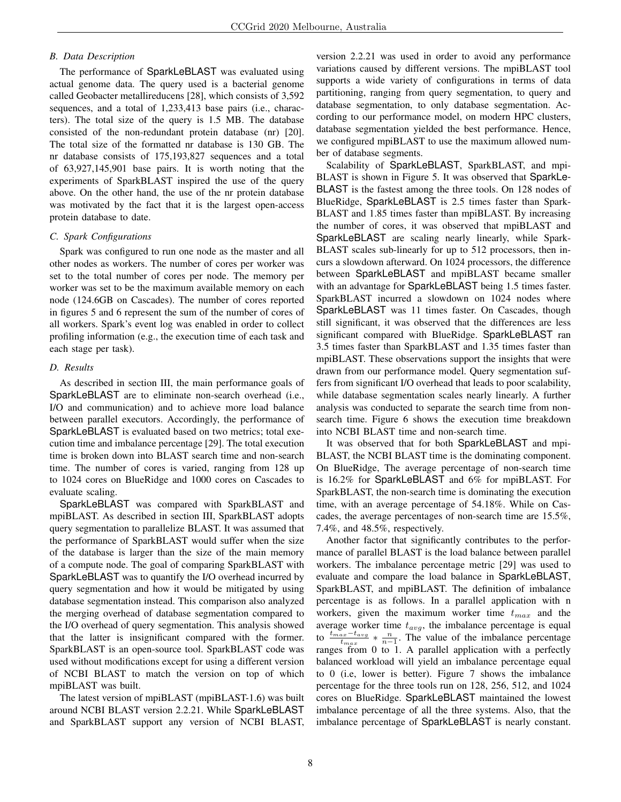# *B. Data Description*

The performance of SparkLeBLAST was evaluated using actual genome data. The query used is a bacterial genome called Geobacter metallireducens [28], which consists of 3,592 sequences, and a total of 1,233,413 base pairs (i.e., characters). The total size of the query is 1.5 MB. The database consisted of the non-redundant protein database (nr) [20]. The total size of the formatted nr database is 130 GB. The nr database consists of 175,193,827 sequences and a total of 63,927,145,901 base pairs. It is worth noting that the experiments of SparkBLAST inspired the use of the query above. On the other hand, the use of the nr protein database was motivated by the fact that it is the largest open-access protein database to date.

## *C. Spark Configurations*

Spark was configured to run one node as the master and all other nodes as workers. The number of cores per worker was set to the total number of cores per node. The memory per worker was set to be the maximum available memory on each node (124.6GB on Cascades). The number of cores reported in figures 5 and 6 represent the sum of the number of cores of all workers. Spark's event log was enabled in order to collect profiling information (e.g., the execution time of each task and each stage per task).

## *D. Results*

As described in section III, the main performance goals of SparkLeBLAST are to eliminate non-search overhead (i.e., I/O and communication) and to achieve more load balance between parallel executors. Accordingly, the performance of SparkLeBLAST is evaluated based on two metrics; total execution time and imbalance percentage [29]. The total execution time is broken down into BLAST search time and non-search time. The number of cores is varied, ranging from 128 up to 1024 cores on BlueRidge and 1000 cores on Cascades to evaluate scaling.

SparkLeBLAST was compared with SparkBLAST and mpiBLAST. As described in section III, SparkBLAST adopts query segmentation to parallelize BLAST. It was assumed that the performance of SparkBLAST would suffer when the size of the database is larger than the size of the main memory of a compute node. The goal of comparing SparkBLAST with SparkLeBLAST was to quantify the I/O overhead incurred by query segmentation and how it would be mitigated by using database segmentation instead. This comparison also analyzed the merging overhead of database segmentation compared to the I/O overhead of query segmentation. This analysis showed that the latter is insignificant compared with the former. SparkBLAST is an open-source tool. SparkBLAST code was used without modifications except for using a different version of NCBI BLAST to match the version on top of which mpiBLAST was built.

The latest version of mpiBLAST (mpiBLAST-1.6) was built around NCBI BLAST version 2.2.21. While SparkLeBLAST and SparkBLAST support any version of NCBI BLAST,

version 2.2.21 was used in order to avoid any performance variations caused by different versions. The mpiBLAST tool supports a wide variety of configurations in terms of data partitioning, ranging from query segmentation, to query and database segmentation, to only database segmentation. According to our performance model, on modern HPC clusters, database segmentation yielded the best performance. Hence, we configured mpiBLAST to use the maximum allowed number of database segments.

Scalability of SparkLeBLAST, SparkBLAST, and mpi-BLAST is shown in Figure 5. It was observed that SparkLe-BLAST is the fastest among the three tools. On 128 nodes of BlueRidge, SparkLeBLAST is 2.5 times faster than Spark-BLAST and 1.85 times faster than mpiBLAST. By increasing the number of cores, it was observed that mpiBLAST and SparkLeBLAST are scaling nearly linearly, while Spark-BLAST scales sub-linearly for up to 512 processors, then incurs a slowdown afterward. On 1024 processors, the difference between SparkLeBLAST and mpiBLAST became smaller with an advantage for SparkLeBLAST being 1.5 times faster. SparkBLAST incurred a slowdown on 1024 nodes where SparkLeBLAST was 11 times faster. On Cascades, though still significant, it was observed that the differences are less significant compared with BlueRidge. SparkLeBLAST ran 3.5 times faster than SparkBLAST and 1.35 times faster than mpiBLAST. These observations support the insights that were drawn from our performance model. Query segmentation suffers from significant I/O overhead that leads to poor scalability, while database segmentation scales nearly linearly. A further analysis was conducted to separate the search time from nonsearch time. Figure 6 shows the execution time breakdown into NCBI BLAST time and non-search time.

It was observed that for both SparkLeBLAST and mpi-BLAST, the NCBI BLAST time is the dominating component. On BlueRidge, The average percentage of non-search time is 16.2% for SparkLeBLAST and 6% for mpiBLAST. For SparkBLAST, the non-search time is dominating the execution time, with an average percentage of 54.18%. While on Cascades, the average percentages of non-search time are 15.5%, 7.4%, and 48.5%, respectively.

Another factor that significantly contributes to the performance of parallel BLAST is the load balance between parallel workers. The imbalance percentage metric [29] was used to evaluate and compare the load balance in SparkLeBLAST, SparkBLAST, and mpiBLAST. The definition of imbalance percentage is as follows. In a parallel application with n workers, given the maximum worker time  $t_{max}$  and the average worker time  $t_{avg}$ , the imbalance percentage is equal to  $\frac{t_{max}-t_{avg}}{t_{max}} * \frac{n}{n-1}$ . The value of the imbalance percentage ranges from 0 to 1. A parallel application with a perfectly balanced workload will yield an imbalance percentage equal to 0 (i.e, lower is better). Figure 7 shows the imbalance percentage for the three tools run on 128, 256, 512, and 1024 cores on BlueRidge. SparkLeBLAST maintained the lowest imbalance percentage of all the three systems. Also, that the imbalance percentage of SparkLeBLAST is nearly constant.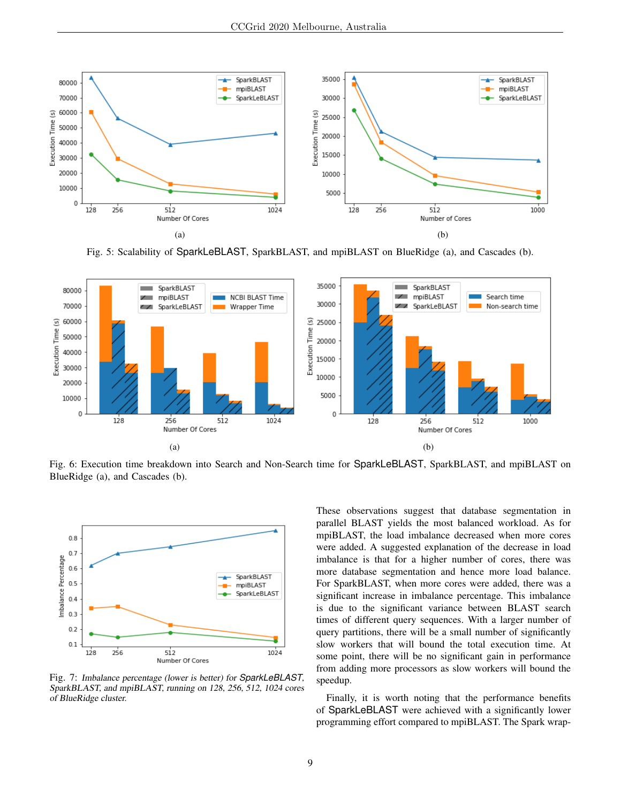

Fig. 5: Scalability of SparkLeBLAST, SparkBLAST, and mpiBLAST on BlueRidge (a), and Cascades (b).



Fig. 6: Execution time breakdown into Search and Non-Search time for SparkLeBLAST, SparkBLAST, and mpiBLAST on BlueRidge (a), and Cascades (b).



Fig. 7: Imbalance percentage (lower is better) for *SparkLeBLAST*, SparkBLAST, and mpiBLAST, running on 128, 256, 512, 1024 cores of BlueRidge cluster.

These observations suggest that database segmentation in parallel BLAST yields the most balanced workload. As for mpiBLAST, the load imbalance decreased when more cores were added. A suggested explanation of the decrease in load imbalance is that for a higher number of cores, there was more database segmentation and hence more load balance. For SparkBLAST, when more cores were added, there was a significant increase in imbalance percentage. This imbalance is due to the significant variance between BLAST search times of different query sequences. With a larger number of query partitions, there will be a small number of significantly slow workers that will bound the total execution time. At some point, there will be no significant gain in performance from adding more processors as slow workers will bound the speedup.

Finally, it is worth noting that the performance benefits of SparkLeBLAST were achieved with a significantly lower programming effort compared to mpiBLAST. The Spark wrap